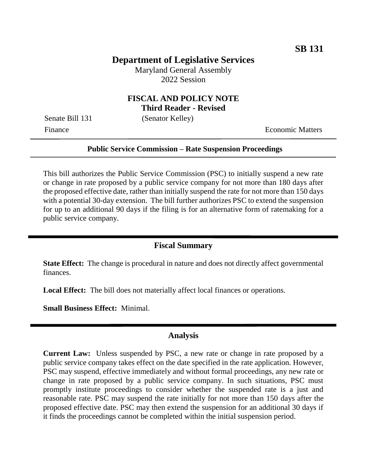# **Department of Legislative Services**

Maryland General Assembly 2022 Session

## **FISCAL AND POLICY NOTE Third Reader - Revised**

Senate Bill 131 (Senator Kelley)

Finance **Exercífical Economic Matters** 

#### **Public Service Commission – Rate Suspension Proceedings**

This bill authorizes the Public Service Commission (PSC) to initially suspend a new rate or change in rate proposed by a public service company for not more than 180 days after the proposed effective date, rather than initially suspend the rate for not more than 150 days with a potential 30-day extension. The bill further authorizes PSC to extend the suspension for up to an additional 90 days if the filing is for an alternative form of ratemaking for a public service company.

### **Fiscal Summary**

**State Effect:** The change is procedural in nature and does not directly affect governmental finances.

**Local Effect:** The bill does not materially affect local finances or operations.

**Small Business Effect:** Minimal.

#### **Analysis**

**Current Law:** Unless suspended by PSC, a new rate or change in rate proposed by a public service company takes effect on the date specified in the rate application. However, PSC may suspend, effective immediately and without formal proceedings, any new rate or change in rate proposed by a public service company. In such situations, PSC must promptly institute proceedings to consider whether the suspended rate is a just and reasonable rate. PSC may suspend the rate initially for not more than 150 days after the proposed effective date. PSC may then extend the suspension for an additional 30 days if it finds the proceedings cannot be completed within the initial suspension period.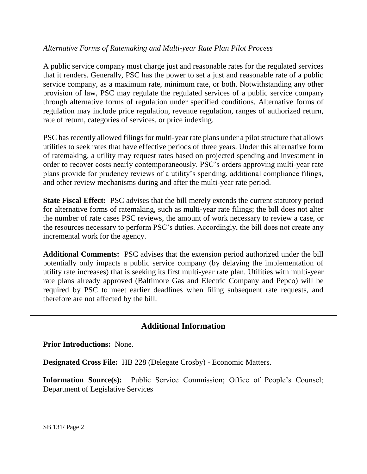## *Alternative Forms of Ratemaking and Multi-year Rate Plan Pilot Process*

A public service company must charge just and reasonable rates for the regulated services that it renders. Generally, PSC has the power to set a just and reasonable rate of a public service company, as a maximum rate, minimum rate, or both. Notwithstanding any other provision of law, PSC may regulate the regulated services of a public service company through alternative forms of regulation under specified conditions. Alternative forms of regulation may include price regulation, revenue regulation, ranges of authorized return, rate of return, categories of services, or price indexing.

PSC has recently allowed filings for multi-year rate plans under a pilot structure that allows utilities to seek rates that have effective periods of three years. Under this alternative form of ratemaking, a utility may request rates based on projected spending and investment in order to recover costs nearly contemporaneously. PSC's orders approving multi-year rate plans provide for prudency reviews of a utility's spending, additional compliance filings, and other review mechanisms during and after the multi-year rate period.

**State Fiscal Effect:** PSC advises that the bill merely extends the current statutory period for alternative forms of ratemaking, such as multi-year rate filings; the bill does not alter the number of rate cases PSC reviews, the amount of work necessary to review a case, or the resources necessary to perform PSC's duties. Accordingly, the bill does not create any incremental work for the agency.

**Additional Comments:** PSC advises that the extension period authorized under the bill potentially only impacts a public service company (by delaying the implementation of utility rate increases) that is seeking its first multi-year rate plan. Utilities with multi-year rate plans already approved (Baltimore Gas and Electric Company and Pepco) will be required by PSC to meet earlier deadlines when filing subsequent rate requests, and therefore are not affected by the bill.

## **Additional Information**

**Prior Introductions:** None.

**Designated Cross File:** HB 228 (Delegate Crosby) - Economic Matters.

**Information Source(s):** Public Service Commission; Office of People's Counsel; Department of Legislative Services